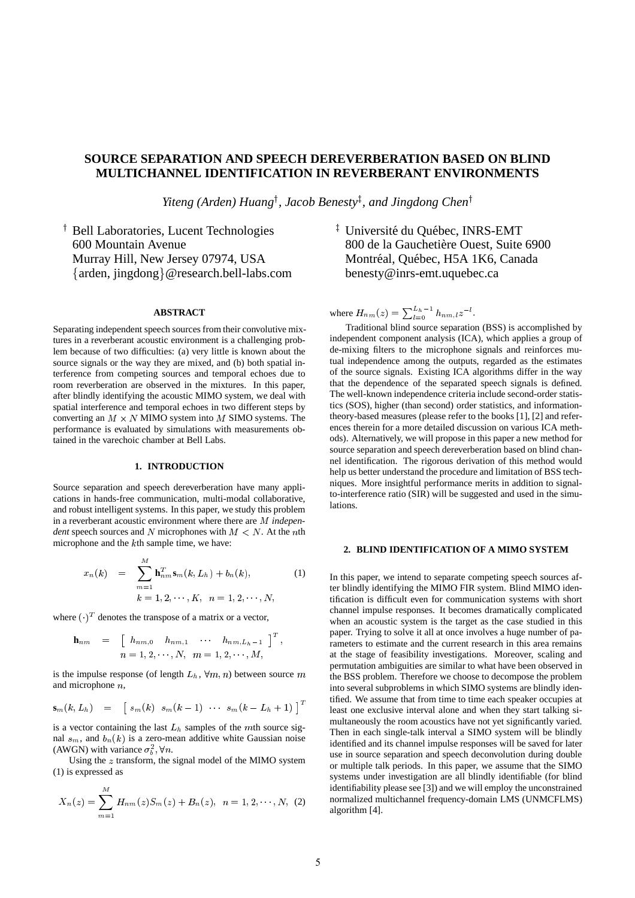# **SOURCE SEPARATION AND SPEECH DEREVERBERATION BASED ON BLIND MULTICHANNEL IDENTIFICATION IN REVERBERANT ENVIRONMENTS**

*Yiteng (Arden) Huang , Jacob Benesty , and Jingdong Chen*

 Bell Laboratories, Lucent Technologies 600 Mountain Avenue Murray Hill, New Jersey 07974, USA - arden, jingdong @research.bell-labs.com

## **ABSTRACT**

Separating independent speech sources from their convolutive mixtures in a reverberant acoustic environment is a challenging problem because of two difficulties: (a) very little is known about the source signals or the way they are mixed, and (b) both spatial interference from competing sources and temporal echoes due to room reverberation are observed in the mixtures. In this paper, after blindly identifying the acoustic MIMO system, we deal with spatial interference and temporal echoes in two different steps by converting an  $M \times N$  MIMO system into M SIMO systems. The performance is evaluated by simulations with measurements obtained in the varechoic chamber at Bell Labs.

## **1. INTRODUCTION**

Source separation and speech dereverberation have many applications in hands-free communication, multi-modal collaborative, and robust intelligent systems. In this paper, we study this problem in a reverberant acoustic environment where there are *independent* speech sources and N microphones with  $M < N$ . At the nth microphone and the *k*th sample time, we have:

$$
x_n(k) = \sum_{m=1}^{M} \mathbf{h}_{nm}^T \mathbf{s}_m(k, L_h) + b_n(k),
$$
 (1)  

$$
k = 1, 2, \cdots, K, \quad n = 1, 2, \cdots, N,
$$

where  $(\cdot)^T$  denotes the transpose of a matrix or a vector,

$$
\begin{array}{rcl}\n\mathbf{h}_{nm} & = & \left[ \begin{array}{cccc} h_{nm,0} & h_{nm,1} & \cdots & h_{nm,L_h-1} \end{array} \right]^T, \\
n = 1, 2, \cdots, N, \quad m = 1, 2, \cdots, M,\n\end{array}
$$

is the impulse response (of length  $L<sub>h</sub>$ ,  $\forall m, n$ ) between source m and microphone  $n$ ,

$$
\mathbf{s}_m(k,L_h) = \begin{bmatrix} s_m(k) & s_m(k-1) & \cdots & s_m(k-L_h+1) \end{bmatrix}^T
$$

is a vector containing the last  $L<sub>h</sub>$  samples of the mth source signal  $s_m$ , and  $b_n(k)$  is a zero-mean additive white Gaussian noise (AWGN) with variance  $\sigma_h^2$ ,  $\forall n$ .

Using the  $z$  transform, the signal model of the MIMO system (1) is expressed as

$$
X_n(z) = \sum_{m=1}^{M} H_{nm}(z)S_m(z) + B_n(z), \ \ n = 1, 2, \cdots, N, \ \ (2)
$$

<sup>‡</sup> Université du Québec, INRS-EMT 800 de la Gauchetière Ouest, Suite 6900 Montréal, Québec, H5A 1K6, Canada benesty@inrs-emt.uquebec.ca

where  $H_{nm}(z) = \sum_{l=0}^{L_h-1} h_{nm,l} z^{-l}$ .

\ Traditional blind source separation (BSS) is accomplished by independent component analysis (ICA), which applies a group of de-mixing filters to the microphone signals and reinforces mutual independence among the outputs, regarded as the estimates of the source signals. Existing ICA algorithms differ in the way that the dependence of the separated speech signals is defined. The well-known independence criteria include second-order statistics (SOS), higher (than second) order statistics, and informationtheory-based measures (please refer to the books [1], [2] and references therein for a more detailed discussion on various ICA methods). Alternatively, we will propose in this paper a new method for source separation and speech dereverberation based on blind channel identification. The rigorous derivation of this method would help us better understand the procedure and limitation of BSS techniques. More insightful performance merits in addition to signalto-interference ratio (SIR) will be suggested and used in the simulations.

#### **2. BLIND IDENTIFICATION OF A MIMO SYSTEM**

In this paper, we intend to separate competing speech sources after blindly identifying the MIMO FIR system. Blind MIMO identification is difficult even for communication systems with short channel impulse responses. It becomes dramatically complicated when an acoustic system is the target as the case studied in this paper. Trying to solve it all at once involves a huge number of parameters to estimate and the current research in this area remains at the stage of feasibility investigations. Moreover, scaling and permutation ambiguities are similar to what have been observed in the BSS problem. Therefore we choose to decompose the problem into several subproblems in which SIMO systems are blindly identified. We assume that from time to time each speaker occupies at least one exclusive interval alone and when they start talking simultaneously the room acoustics have not yet significantly varied. Then in each single-talk interval a SIMO system will be blindly identified and its channel impulse responses will be saved for later use in source separation and speech deconvolution during double or multiple talk periods. In this paper, we assume that the SIMO systems under investigation are all blindly identifiable (for blind identifiability please see [3]) and we will employ the unconstrained normalized multichannel frequency-domain LMS (UNMCFLMS) algorithm [4].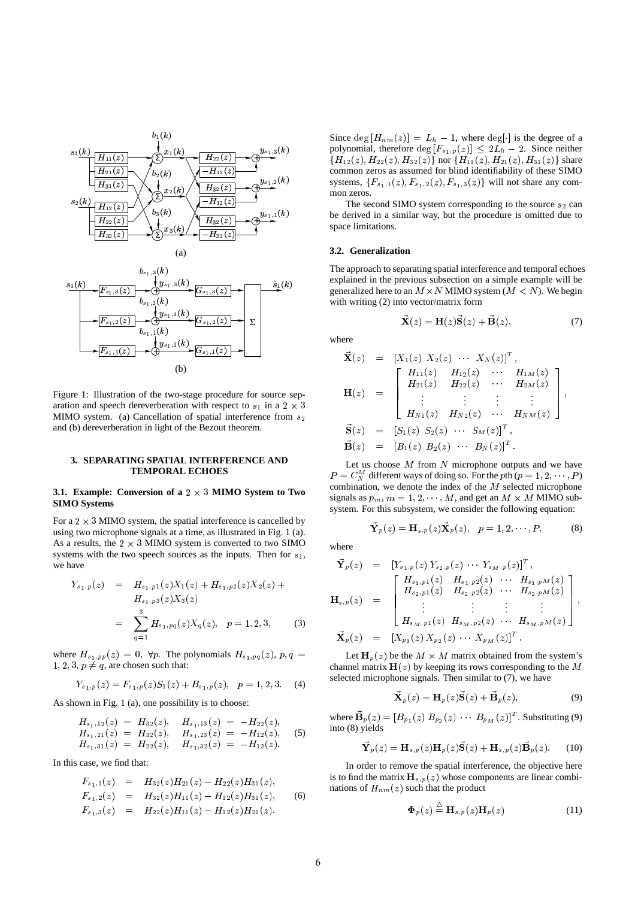



Figure 1: Illustration of the two-stage procedure for source separation and speech dereverberation with respect to  $s_1$  in a 2  $\times$  3 MIMO system. (a) Cancellation of spatial interference from  $s_2$ and (b) dereverberation in light of the Bezout theorem.

### **3. SEPARATING SPATIAL INTERFERENCE AND TEMPORAL ECHOES**

#### **3.1. Example:** Conversion of a  $2 \times 3$  **MIMO** System to Two **SIMO Systems**

For a  $2 \times 3$  MIMO system, the spatial interference is cancelled by using two microphone signals at a time, as illustrated in Fig. 1 (a). As a results, the  $2 \times 3$  MIMO system is converted to two SIMO systems with the two speech sources as the inputs. Then for  $s_1$ , we have

$$
Y_{s_1,p}(z) = H_{s_1,p1}(z)X_1(z) + H_{s_1,p2}(z)X_2(z) + H_{s_1,p3}(z)X_3(z)
$$
  
= 
$$
\sum_{q=1}^3 H_{s_1,pq}(z)X_q(z), \quad p = 1, 2, 3,
$$
 (3)

where  $H_{s_1, pp}(z) = 0$ ,  $\forall p$ . The polynomials  $H_{s_1, pq}(z)$ ,  $p, q = L$  $1, 2, 3, p \neq q$ , are chosen such that:

$$
Y_{s_1,p}(z) = F_{s_1,p}(z)S_1(z) + B_{s_1,p}(z), \quad p = 1, 2, 3. \tag{4}
$$

As shown in Fig. 1 (a), one possibility is to choose:

$$
H_{s_1,12}(z) = H_{32}(z), \quad H_{s_1,13}(z) = -H_{22}(z), H_{s_1,21}(z) = H_{32}(z), \quad H_{s_1,23}(z) = -H_{12}(z), H_{s_1,31}(z) = H_{22}(z), \quad H_{s_1,32}(z) = -H_{12}(z).
$$
 (5)

In this case, we find that:

$$
F_{s_1,1}(z) = H_{32}(z)H_{21}(z) - H_{22}(z)H_{31}(z),
$$
  
\n
$$
F_{s_1,2}(z) = H_{32}(z)H_{11}(z) - H_{12}(z)H_{31}(z),
$$
  
\n
$$
F_{s_1,3}(z) = H_{22}(z)H_{11}(z) - H_{12}(z)H_{21}(z).
$$
 (6)

Since  $\deg[H_{nm}(z)] = L_h - 1$ , where  $\deg[\cdot]$  is the degree of a notwoomial therefore  $\deg[F_{n-1}(z)] \leq 2L_h - 2$ . Since neither polynomial, therefore  $\deg[F_{s_1,p}(z)] \leq 2L_h - 2$ . Since neither  $\{H_{12}(z), H_{22}(z), H_{32}(z)\}$  nor  $\{H_{11}(z), H_{21}(z), H_{31}(z)\}$  share<br>common zeros as assumed for blind identifiability of these SIMO common zeros as assumed for blind identifiability of these SIMO systems,  ${F_{s_1,1}(z), F_{s_1,2}(z), F_{s_1,3}(z)}$  will not share any common zeros.

The second SIMO system corresponding to the source  $s_2$  can be derived in a similar way, but the procedure is omitted due to space limitations.

### **3.2. Generalization**

The approach to separating spatial interference and temporal echoes explained in the previous subsection on a simple example will be generalized here to an  $M \times N$  MIMO system  $(M < N)$ . We begin with writing (2) into vector/matrix form

$$
\vec{\mathbf{X}}(z) = \mathbf{H}(z)\vec{\mathbf{S}}(z) + \vec{\mathbf{B}}(z),\tag{7}
$$

where

$$
\vec{\mathbf{X}}(z) = [X_1(z) \ X_2(z) \ \cdots \ X_N(z)]^T, \n\mathbf{H}(z) = \begin{bmatrix}\nH_{11}(z) & H_{12}(z) & \cdots & H_{1M}(z) \\
H_{21}(z) & H_{22}(z) & \cdots & H_{2M}(z) \\
\vdots & \vdots & \vdots & \vdots \\
H_{N1}(z) & H_{N2}(z) & \cdots & H_{NM}(z)\n\end{bmatrix}, \n\vec{\mathbf{S}}(z) = [S_1(z) \ S_2(z) \ \cdots \ S_M(z)]^T, \n\vec{\mathbf{B}}(z) = [B_1(z) \ B_2(z) \ \cdots \ B_N(z)]^T.
$$

Let us choose  $M$  from  $N$  microphone outputs and we have  $P = C_N^M$  different ways of doing so. For the pth ( $p = 1, 2, \dots, P$ ) combination, we denote the index of the  $M$  selected microphone signals as  $p_m, m = 1, 2, \dots, M$ , and get an  $M \times M$  MIMO subsystem. For this subsystem, we consider the following equation:

$$
\vec{\mathbf{Y}}_p(z) = \mathbf{H}_{s,p}(z)\vec{\mathbf{X}}_p(z), \quad p = 1, 2, \cdots, P,
$$
 (8)

where

$$
\vec{Y}_p(z) = [Y_{s_1,p}(z) Y_{s_2,p}(z) \cdots Y_{s_M,p}(z)]^T,
$$
\n
$$
\mathbf{H}_{s,p}(z) = \begin{bmatrix}\nH_{s_1,p1}(z) & H_{s_1,p2}(z) & \cdots & H_{s_1,pM}(z) \\
H_{s_2,p1}(z) & H_{s_2,p2}(z) & \cdots & H_{s_2,pM}(z) \\
\vdots & \vdots & \vdots & \vdots \\
H_{s_M,p1}(z) & H_{s_M,p2}(z) & \cdots & H_{s_M,pM}(z)\n\end{bmatrix},
$$
\n
$$
\vec{X}_p(z) = [X_{p1}(z) X_{p2}(z) \cdots X_{p_M}(z)]^T.
$$

Let  $H_n(z)$  be the  $M \times M$  matrix obtained from the system's channel matrix  $H(z)$  by keeping its rows corresponding to the M selected microphone signals. Then similar to (7), we have

$$
\vec{\mathbf{X}}_p(z) = \mathbf{H}_p(z)\vec{\mathbf{S}}(z) + \vec{\mathbf{B}}_p(z),
$$
\n(9)

where  $\vec{B}_p(z) = \left[ B_{p_1}(z) B_{p_2}(z) \cdots B_{p_M}(z) \right]^T$ . Substituting (9) into (8) yields

$$
\vec{\mathbf{Y}}_p(z) = \mathbf{H}_{s,p}(z)\mathbf{H}_p(z)\vec{\mathbf{S}}(z) + \mathbf{H}_{s,p}(z)\vec{\mathbf{B}}_p(z).
$$
 (10)

In order to remove the spatial interference, the objective here is to find the matrix  $H_{s,p}(z)$  whose components are linear combinations of  $H_{nm}(z)$  such that the product

$$
\Phi_p(z) \stackrel{\triangle}{=} \mathbf{H}_{s,p}(z) \mathbf{H}_p(z) \tag{11}
$$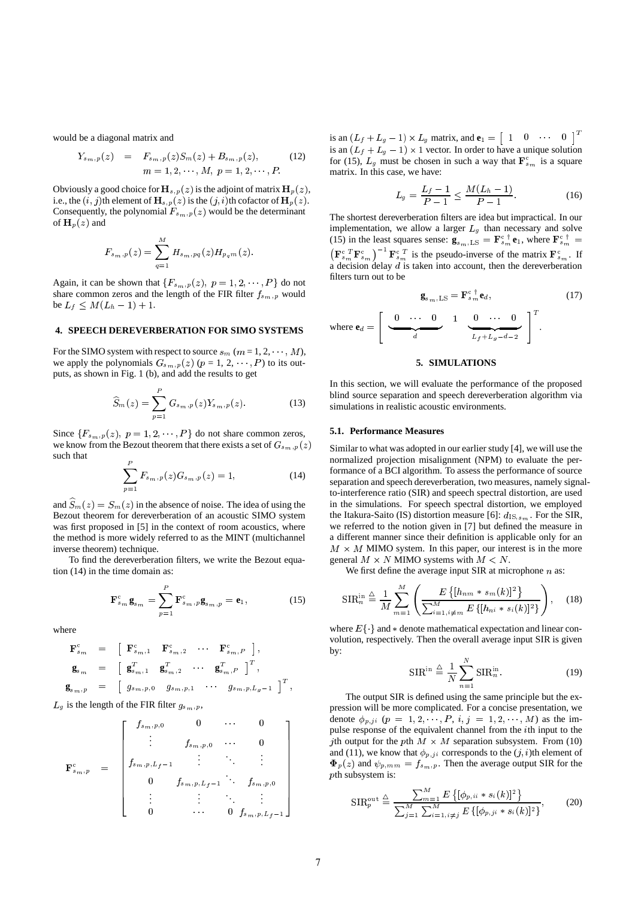would be a diagonal matrix and

$$
Y_{s_m,p}(z) = F_{s_m,p}(z)S_m(z) + B_{s_m,p}(z),
$$
 (12)  

$$
m = 1, 2, \cdots, M, p = 1, 2, \cdots, P.
$$

Obviously a good choice for  $H_{s,p}(z)$  is the adjoint of matrix  $H_p(z)$ , i.e., the  $(i, j)$ th element of  $\mathbf{H}_{s,p}(z)$  is the  $(j, i)$ th cofactor of  $\mathbf{H}_{p}(z)$ . Consequently, the polynomial  $F_{s_m,p}(z)$  would be the determinant of  $\mathbf{H}_{p}(z)$  and

$$
F_{s_m \, ,p}(z) = \sum_{q=1}^M H_{s_m \, ,pq}(z) H_{p_q m}(z).
$$

Again, it can be shown that  $\{F_{s_m,p}(z), p = 1, 2, \dots, P\}$  do not share common zeros and the length of the FIR filter  $f_{s_m,p}$  would be  $L_f \leq M(L_h - 1) + 1$ .

#### **4. SPEECH DEREVERBERATION FOR SIMO SYSTEMS**

For the SIMO system with respect to source  $s_m$   $(m = 1, 2, \dots, M)$ , we apply the polynomials  $G_{s_m, p}(z)$   $(p = 1, 2, \dots, P)$  to its outputs, as shown in Fig. 1 (b), and add the results to get

$$
\widehat{S}_m(z) = \sum_{p=1}^P G_{s_m, p}(z) Y_{s_m, p}(z).
$$
 (13)

Since  $\{F_{s_m,p}(z), p=1,2,\cdots,P\}$  do not share common zeros, we know from the Bezout theorem that there exists a set of  $G_{s_m,p}(z)$ such that  $P$ 

$$
\sum_{p=1}^{P} F_{s_m,p}(z) G_{s_m,p}(z) = 1,
$$
\n(14)

and  $\widehat{S}_m(z) = S_m(z)$  in the absence of noise. The idea of using the Bezout theorem for dereverberation of an acoustic SIMO system was first proposed in [5] in the context of room acoustics, where the method is more widely referred to as the MINT (multichannel inverse theorem) technique.

To find the dereverberation filters, we write the Bezout equation (14) in the time domain as:

$$
\mathbf{F}_{s_m}^{\mathrm{c}}\mathbf{g}_{s_m} = \sum_{p=1}^{P} \mathbf{F}_{s_m, p}^{\mathrm{c}}\mathbf{g}_{s_m, p} = \mathbf{e}_1, \qquad (15)
$$

where

$$
\begin{array}{rcl}\n\mathbf{F}^{\mathrm{c}}_{s_{m}} & = & \left[ \begin{array}{cccc} \mathbf{F}^{\mathrm{c}}_{s_{m},1} & \mathbf{F}^{\mathrm{c}}_{s_{m},2} & \cdots & \mathbf{F}^{\mathrm{c}}_{s_{m},P} \end{array} \right], \\
\mathbf{g}_{s_{m}} & = & \left[ \begin{array}{cccc} \mathbf{g}_{s_{m},1}^{T} & \mathbf{g}_{s_{m},2}^{T} & \cdots & \mathbf{g}_{s_{m},P}^{T} \end{array} \right]^{T}, \\
\mathbf{g}_{s_{m},p} & = & \left[ \begin{array}{cccc} g_{s_{m},p,0} & g_{s_{m},p,1} & \cdots & g_{s_{m},p,L_{g}-1} \end{array} \right]^{T}, \\
L_{g} \text{ is the length of the FIR filter } g_{s_{m},p},\n\end{array}
$$

$$
\mathbf{F}_{s_m,p}^{\text{c}} = \begin{bmatrix} f_{s_m,p,0} & 0 & \cdots & 0 \\ \vdots & f_{s_m,p,0} & \cdots & 0 \\ f_{s_m,p,L_f-1} & \vdots & \ddots & \vdots \\ 0 & f_{s_m,p,L_f-1} & \cdots & f_{s_m,p,0} \\ \vdots & \vdots & \ddots & \vdots \\ 0 & \cdots & 0 & f_{s_m,p,L_f-1} \end{bmatrix}
$$

is an  $(L_f + L_g - 1) \times L_g$  matrix, and  $\mathbf{e}_1 = \begin{bmatrix} 1 & 0 & \cdots & 0 \end{bmatrix}^T$ is an  $(L_f + L_g - 1) \times 1$  vector. In order to have a unique solution for (15),  $L_g$  must be chosen in such a way that  $\mathbf{F}_{s_m}^c$  is a square matrix. In this case, we have:

$$
L_g = \frac{L_f - 1}{P - 1} \le \frac{M(L_h - 1)}{P - 1}.
$$
 (16)

The shortest dereverberation filters are idea but impractical. In our implementation, we allow a larger  $L_g$  than necessary and solve (15) in the least squares sense:  $\mathbf{g}_{s_{\text{max}}|LS} = \mathbf{F}_{s_{\text{max}}}^{\text{c} \dagger} \mathbf{e}_1$ , where  $\mathbf{F}_{s_{\text{max}}}^{\text{c} \dagger}$  $({\bf F}_{s_m}^c {\bf F}_{s_m}^c)^{-1} {\bf F}_{s_m}^c$  is the pseudo-inverse of the matrix  ${\bf F}_{s_m}^c$ . If a decision delay  $d$  is taken into account, then the dereverberation filters turn out to be

$$
\mathbf{g}_{s_m, \text{LS}} = \mathbf{F}_{s_m}^{c} \mathbf{e}_d,\tag{17}
$$

where **e**\$ *<u>Participate Contract Contract Contract Contract Contract Contract Contract Contract Contract Contract Contract Contract Contract Contract Contract Contract Contract Contract Contract Contract Contract Contract Contract* </u>  $\frac{1}{d}$   $\frac{1}{L}$  $\begin{array}{c|c|c}\n & 0 & \cdots & 0 \\
\hline\n & L_f + L_g - d - 2\n\end{array}$ .

## **5. SIMULATIONS**

In this section, we will evaluate the performance of the proposed blind source separation and speech dereverberation algorithm via simulations in realistic acoustic environments.

#### **5.1. Performance Measures**

 Similar to what was adopted in our earlier study [4], we will use the normalized projection misalignment (NPM) to evaluate the performance of a BCI algorithm. To assess the performance of source separation and speech dereverberation, two measures, namely signalto-interference ratio (SIR) and speech spectral distortion, are used in the simulations. For speech spectral distortion, we employed the Itakura-Saito (IS) distortion measure [6]:  $d_{1S, s_m}$ . For the SIR, we referred to the notion given in [7] but defined the measure in a different manner since their definition is applicable only for an  $M \times M$  MIMO system. In this paper, our interest is in the more general  $M \times N$  MIMO systems with  $M \le N$ .

We first define the average input SIR at microphone  $n$  as:

$$
\text{SIR}_{n}^{\text{in}} \stackrel{\Delta}{=} \frac{1}{M} \sum_{m=1}^{M} \left( \frac{E\left\{ [h_{nm} * s_{m}(k)]^{2} \right\}}{\sum_{i=1, i \neq m}^{M} E\left\{ [h_{ni} * s_{i}(k)]^{2} \right\}} \right), \quad (18)
$$

where  $E\{\}\$ and  $*$  denote mathematical expectation and linear convolution, respectively. Then the overall average input SIR is given by:

$$
SIR^{in} \stackrel{\triangle}{=} \frac{1}{N} \sum_{n=1}^{N} SIR^{in}_{n}.
$$
 (19)

The output SIR is defined using the same principle but the expression will be more complicated. For a concise presentation, we denote  $\phi_{p,ji}$   $(p = 1, 2, \dots, P, i, j = 1, 2, \dots, M)$  as the impulse response of the equivalent channel from the  $i$ th input to the *j*th output for the pth  $M \times M$  separation subsystem. From (10) and (11), we know that  $\phi_{p,ji}$  corresponds to the  $(j, i)$ th element of  $\Phi_p(z)$  and  $\psi_{p,mm} = f_{s_m,p}$ . Then the average output SIR for the  $p$ th subsystem is:

$$
SIR_p^{\text{out}} \stackrel{\triangle}{=} \frac{\sum_{m=1}^M E\left\{ [\phi_{p,ii} * s_i(k)]^2 \right\}}{\sum_{j=1}^M \sum_{i=1, i \neq j}^M E\left\{ [\phi_{p,ji} * s_i(k)]^2 \right\}},
$$
(20)